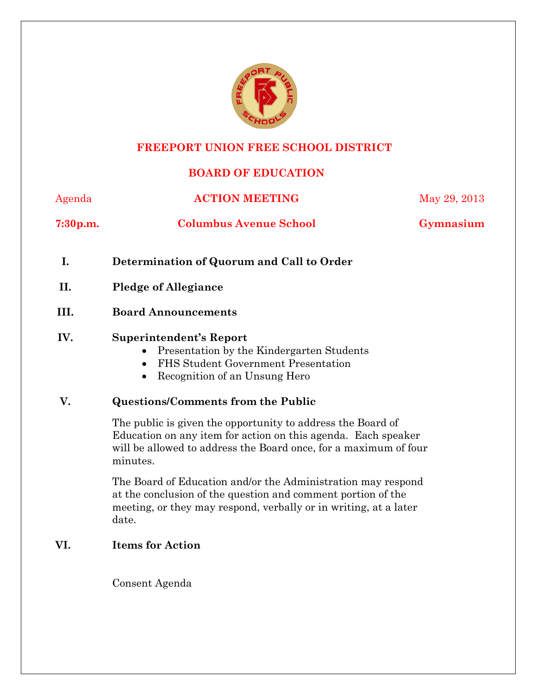

# **FREEPORT UNION FREE SCHOOL DISTRICT**

## **BOARD OF EDUCATION**

| Agenda               | <b>ACTION MEETING</b>                                                                                                                                                                                        | May 29, 2013 |
|----------------------|--------------------------------------------------------------------------------------------------------------------------------------------------------------------------------------------------------------|--------------|
| 7:30 <sub>p.m.</sub> | <b>Columbus Avenue School</b>                                                                                                                                                                                | Gymnasium    |
| I.                   | Determination of Quorum and Call to Order                                                                                                                                                                    |              |
| II.                  | <b>Pledge of Allegiance</b>                                                                                                                                                                                  |              |
| III.                 | <b>Board Announcements</b>                                                                                                                                                                                   |              |
| IV.                  | <b>Superintendent's Report</b><br>Presentation by the Kindergarten Students<br>FHS Student Government Presentation<br>$\bullet$<br>Recognition of an Unsung Hero                                             |              |
| V.                   | <b>Questions/Comments from the Public</b>                                                                                                                                                                    |              |
|                      | The public is given the opportunity to address the Board of<br>Education on any item for action on this agenda. Each speaker<br>will be allowed to address the Board once, for a maximum of four<br>minutes. |              |
|                      | The Board of Education and/or the Administration may respond<br>at the conclusion of the question and comment portion of the<br>meeting, or they may respond, verbally or in writing, at a later<br>date.    |              |
| VI.                  | <b>Items for Action</b>                                                                                                                                                                                      |              |
|                      | Consent Agenda                                                                                                                                                                                               |              |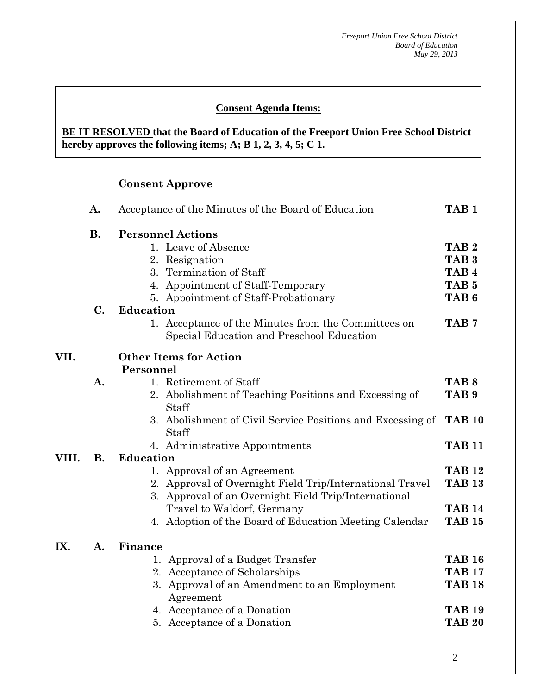### **Consent Agenda Items:**

#### *Acceptance of the Minutes*  $\mathbf{A}$ **BE IT RESOLVED that the Board of Education of the Freeport Union Free School District hereby approves the following items; A; B 1, 2, 3, 4, 5; C 1.**

#### **Consent Approve**

 **AA. Consent - Approve** 

|       | A.             | Acceptance of the Minutes of the Board of Education                                                              | TAB <sub>1</sub> |
|-------|----------------|------------------------------------------------------------------------------------------------------------------|------------------|
|       | <b>B.</b>      | <b>Personnel Actions</b>                                                                                         |                  |
|       |                | 1. Leave of Absence                                                                                              | TAB <sub>2</sub> |
|       |                | 2. Resignation                                                                                                   | TAB <sub>3</sub> |
|       |                | 3. Termination of Staff                                                                                          | TAB <sub>4</sub> |
|       |                | 4. Appointment of Staff-Temporary                                                                                | TAB <sub>5</sub> |
|       |                | 5. Appointment of Staff-Probationary                                                                             | TAB <sub>6</sub> |
|       | $\mathbf{C}$ . | <b>Education</b>                                                                                                 |                  |
|       |                | 1. Acceptance of the Minutes from the Committees on<br>Special Education and Preschool Education                 | TAB <sub>7</sub> |
| VII.  |                | <b>Other Items for Action</b>                                                                                    |                  |
|       |                | Personnel                                                                                                        |                  |
|       | A.             | 1. Retirement of Staff                                                                                           | TAB <sub>8</sub> |
|       |                | 2. Abolishment of Teaching Positions and Excessing of<br>Staff                                                   | TAB <sub>9</sub> |
|       |                | 3. Abolishment of Civil Service Positions and Excessing of<br>Staff                                              | <b>TAB 10</b>    |
|       |                | 4. Administrative Appointments                                                                                   | <b>TAB 11</b>    |
| VIII. | <b>B.</b>      | <b>Education</b>                                                                                                 |                  |
|       |                | 1. Approval of an Agreement                                                                                      | <b>TAB 12</b>    |
|       |                | 2. Approval of Overnight Field Trip/International Travel<br>3. Approval of an Overnight Field Trip/International | <b>TAB 13</b>    |
|       |                | Travel to Waldorf, Germany                                                                                       | <b>TAB 14</b>    |
|       |                | 4. Adoption of the Board of Education Meeting Calendar                                                           | <b>TAB 15</b>    |
| IX.   | A.             | Finance                                                                                                          |                  |
|       |                | Approval of a Budget Transfer<br>1.                                                                              | <b>TAB 16</b>    |
|       |                | 2. Acceptance of Scholarships                                                                                    | <b>TAB 17</b>    |
|       |                | 3. Approval of an Amendment to an Employment<br>Agreement                                                        | <b>TAB 18</b>    |
|       |                | 4. Acceptance of a Donation                                                                                      | <b>TAB 19</b>    |
|       |                | 5. Acceptance of a Donation                                                                                      | <b>TAB 20</b>    |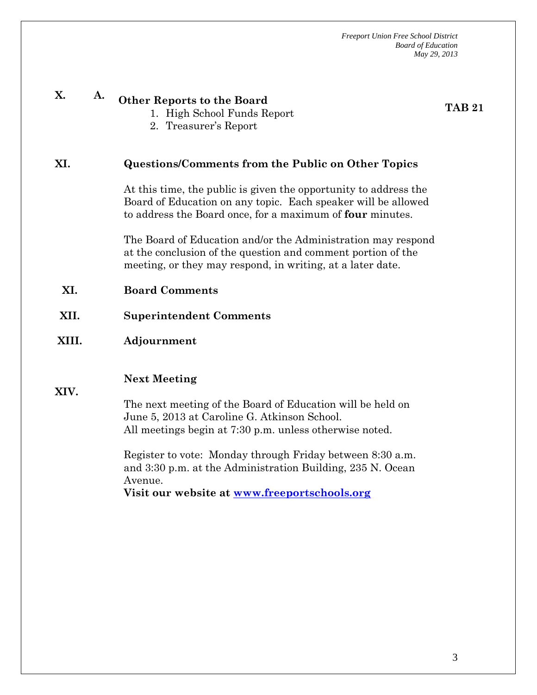| X.    | A. | <b>Other Reports to the Board</b><br>1. High School Funds Report<br>2. Treasurer's Report                                                                                                      | <b>TAB 21</b> |
|-------|----|------------------------------------------------------------------------------------------------------------------------------------------------------------------------------------------------|---------------|
| XI.   |    | Questions/Comments from the Public on Other Topics                                                                                                                                             |               |
|       |    | At this time, the public is given the opportunity to address the<br>Board of Education on any topic. Each speaker will be allowed<br>to address the Board once, for a maximum of four minutes. |               |
|       |    | The Board of Education and/or the Administration may respond<br>at the conclusion of the question and comment portion of the<br>meeting, or they may respond, in writing, at a later date.     |               |
| XI.   |    | <b>Board Comments</b>                                                                                                                                                                          |               |
| XII.  |    | <b>Superintendent Comments</b>                                                                                                                                                                 |               |
|       |    |                                                                                                                                                                                                |               |
| XIII. |    | Adjournment                                                                                                                                                                                    |               |
| XIV.  |    | <b>Next Meeting</b><br>The next meeting of the Board of Education will be held on<br>June 5, 2013 at Caroline G. Atkinson School.<br>All meetings begin at 7:30 p.m. unless otherwise noted.   |               |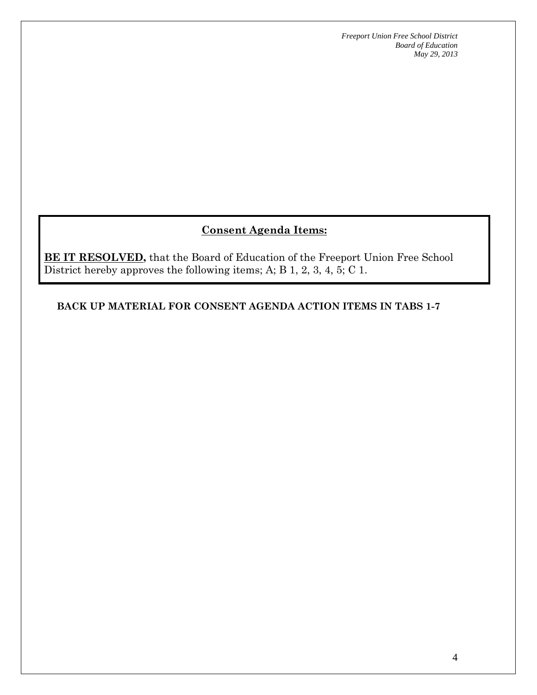## **Consent Agenda Items:**

**BE IT RESOLVED,** that the Board of Education of the Freeport Union Free School District hereby approves the following items; A; B 1, 2, 3, 4, 5; C 1.

**BACK UP MATERIAL FOR CONSENT AGENDA ACTION ITEMS IN TABS 1-7**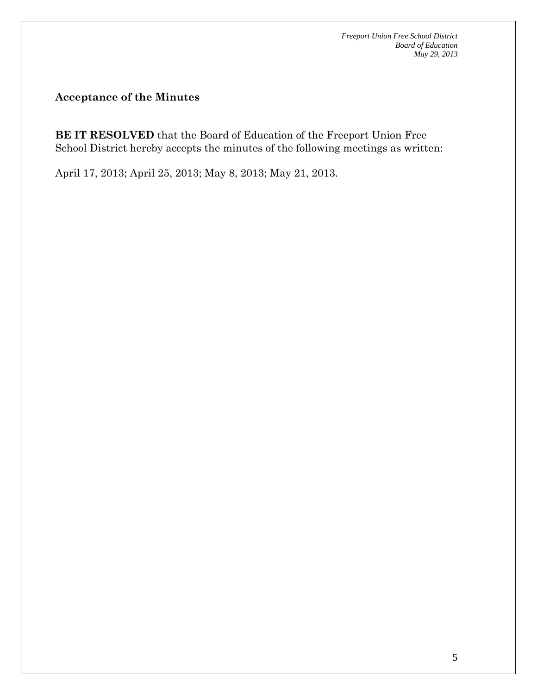**Acceptance of the Minutes** 

**BE IT RESOLVED** that the Board of Education of the Freeport Union Free School District hereby accepts the minutes of the following meetings as written:

April 17, 2013; April 25, 2013; May 8, 2013; May 21, 2013.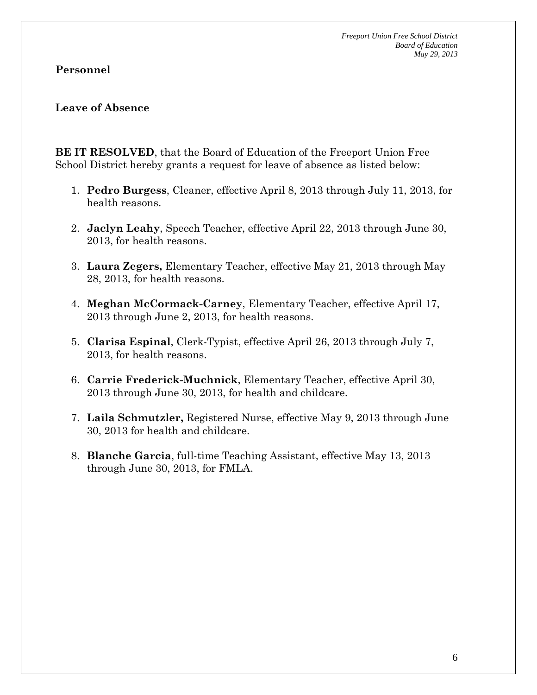#### **Personnel**

#### **Leave of Absence**

**BE IT RESOLVED**, that the Board of Education of the Freeport Union Free School District hereby grants a request for leave of absence as listed below:

- 1. **Pedro Burgess**, Cleaner, effective April 8, 2013 through July 11, 2013, for health reasons.
- 2. **Jaclyn Leahy**, Speech Teacher, effective April 22, 2013 through June 30, 2013, for health reasons.
- 3. **Laura Zegers,** Elementary Teacher, effective May 21, 2013 through May 28, 2013, for health reasons.
- 4. **Meghan McCormack-Carney**, Elementary Teacher, effective April 17, 2013 through June 2, 2013, for health reasons.
- 5. **Clarisa Espinal**, Clerk-Typist, effective April 26, 2013 through July 7, 2013, for health reasons.
- 6. **Carrie Frederick-Muchnick**, Elementary Teacher, effective April 30, 2013 through June 30, 2013, for health and childcare.
- 7. **Laila Schmutzler,** Registered Nurse, effective May 9, 2013 through June 30, 2013 for health and childcare.
- 8. **Blanche Garcia**, full-time Teaching Assistant, effective May 13, 2013 through June 30, 2013, for FMLA.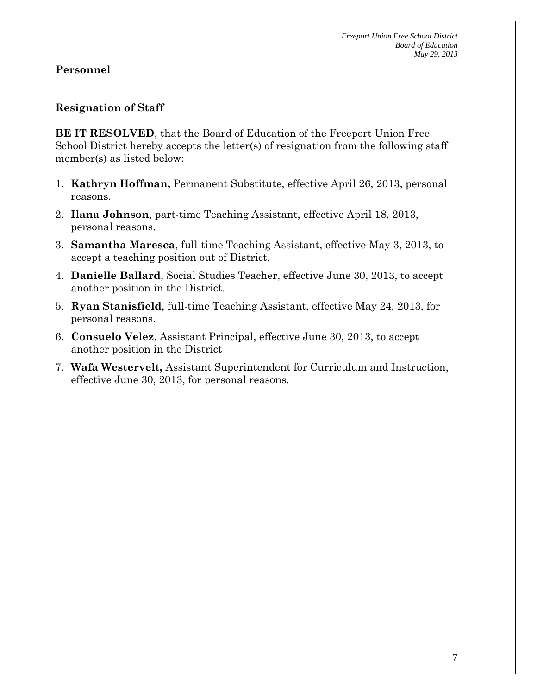#### **Resignation of Staff**

**BE IT RESOLVED**, that the Board of Education of the Freeport Union Free School District hereby accepts the letter(s) of resignation from the following staff member(s) as listed below:

- 1. **Kathryn Hoffman,** Permanent Substitute, effective April 26, 2013, personal reasons.
- 2. **Ilana Johnson**, part-time Teaching Assistant, effective April 18, 2013, personal reasons.
- 3. **Samantha Maresca**, full-time Teaching Assistant, effective May 3, 2013, to accept a teaching position out of District.
- 4. **Danielle Ballard**, Social Studies Teacher, effective June 30, 2013, to accept another position in the District.
- 5. **Ryan Stanisfield**, full-time Teaching Assistant, effective May 24, 2013, for personal reasons.
- 6. **Consuelo Velez**, Assistant Principal, effective June 30, 2013, to accept another position in the District
- 7. **Wafa Westervelt,** Assistant Superintendent for Curriculum and Instruction, effective June 30, 2013, for personal reasons.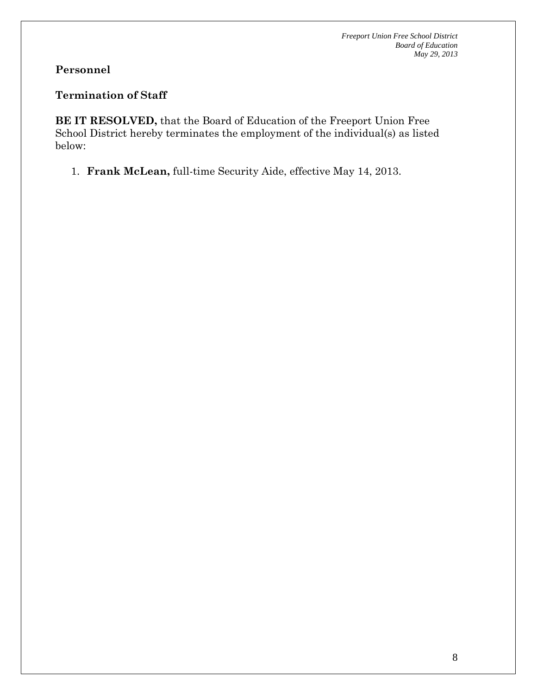### **Termination of Staff**

**BE IT RESOLVED,** that the Board of Education of the Freeport Union Free School District hereby terminates the employment of the individual(s) as listed below:

1. **Frank McLean,** full-time Security Aide, effective May 14, 2013.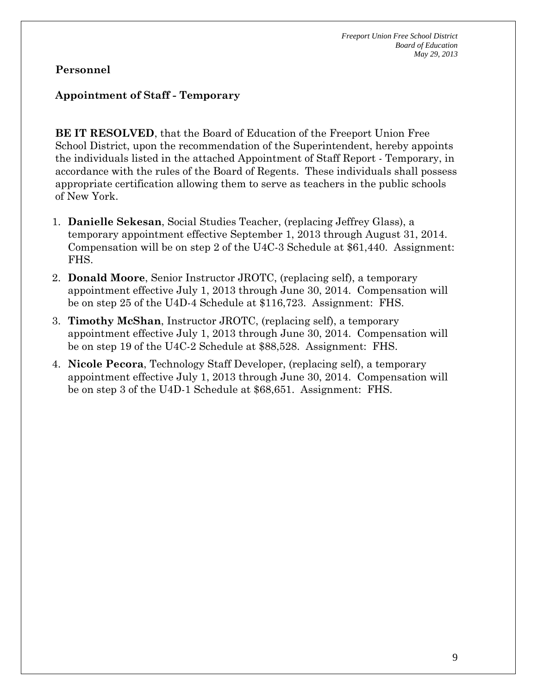#### **Appointment of Staff - Temporary**

**BE IT RESOLVED**, that the Board of Education of the Freeport Union Free School District, upon the recommendation of the Superintendent, hereby appoints the individuals listed in the attached Appointment of Staff Report - Temporary, in accordance with the rules of the Board of Regents. These individuals shall possess appropriate certification allowing them to serve as teachers in the public schools of New York.

- 1. **Danielle Sekesan**, Social Studies Teacher, (replacing Jeffrey Glass), a temporary appointment effective September 1, 2013 through August 31, 2014. Compensation will be on step 2 of the U4C-3 Schedule at \$61,440. Assignment: FHS.
- 2. **Donald Moore**, Senior Instructor JROTC, (replacing self), a temporary appointment effective July 1, 2013 through June 30, 2014. Compensation will be on step 25 of the U4D-4 Schedule at \$116,723. Assignment: FHS.
- 3. **Timothy McShan**, Instructor JROTC, (replacing self), a temporary appointment effective July 1, 2013 through June 30, 2014. Compensation will be on step 19 of the U4C-2 Schedule at \$88,528. Assignment: FHS.
- 4. **Nicole Pecora**, Technology Staff Developer, (replacing self), a temporary appointment effective July 1, 2013 through June 30, 2014. Compensation will be on step 3 of the U4D-1 Schedule at \$68,651. Assignment: FHS.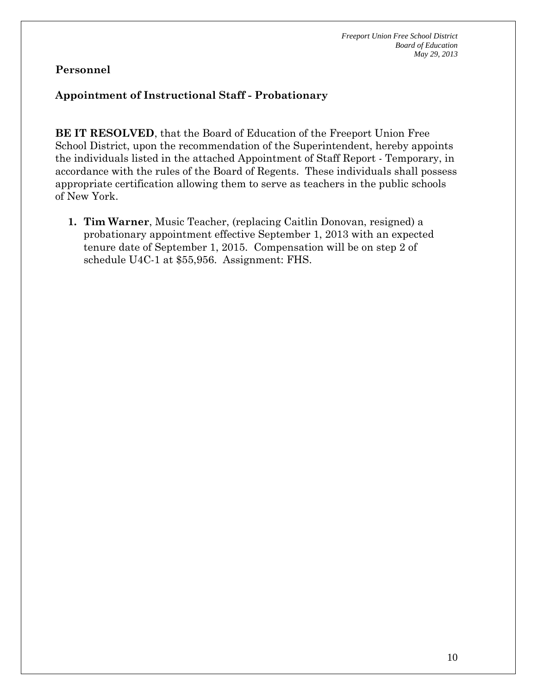### **Appointment of Instructional Staff - Probationary**

**BE IT RESOLVED**, that the Board of Education of the Freeport Union Free School District, upon the recommendation of the Superintendent, hereby appoints the individuals listed in the attached Appointment of Staff Report - Temporary, in accordance with the rules of the Board of Regents. These individuals shall possess appropriate certification allowing them to serve as teachers in the public schools of New York.

**1. Tim Warner**, Music Teacher, (replacing Caitlin Donovan, resigned) a probationary appointment effective September 1, 2013 with an expected tenure date of September 1, 2015. Compensation will be on step 2 of schedule U4C-1 at \$55,956. Assignment: FHS.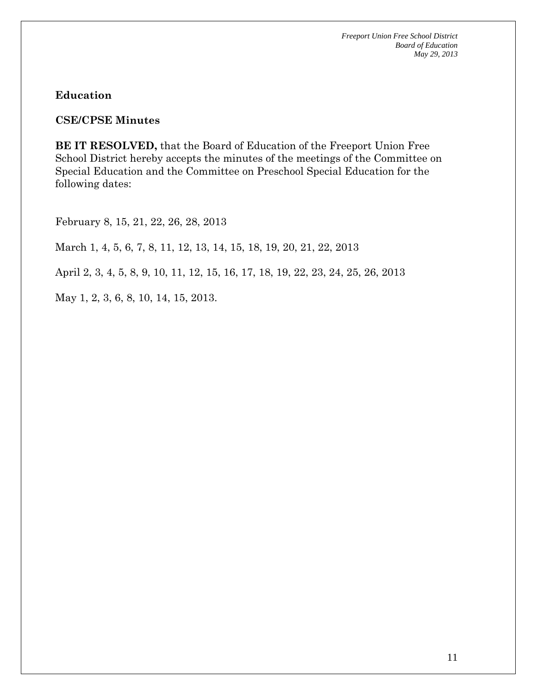#### **Education**

#### **CSE/CPSE Minutes**

**BE IT RESOLVED,** that the Board of Education of the Freeport Union Free School District hereby accepts the minutes of the meetings of the Committee on Special Education and the Committee on Preschool Special Education for the following dates:

February 8, 15, 21, 22, 26, 28, 2013

March 1, 4, 5, 6, 7, 8, 11, 12, 13, 14, 15, 18, 19, 20, 21, 22, 2013

April 2, 3, 4, 5, 8, 9, 10, 11, 12, 15, 16, 17, 18, 19, 22, 23, 24, 25, 26, 2013

May 1, 2, 3, 6, 8, 10, 14, 15, 2013.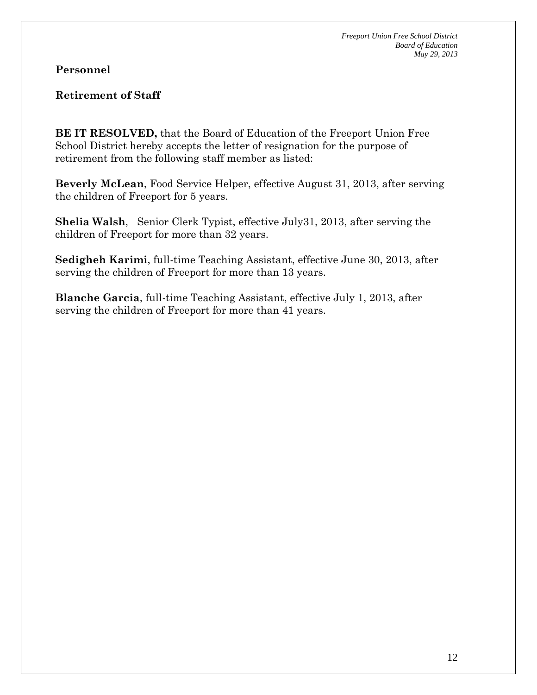### **Retirement of Staff**

**BE IT RESOLVED,** that the Board of Education of the Freeport Union Free School District hereby accepts the letter of resignation for the purpose of retirement from the following staff member as listed:

**Beverly McLean**, Food Service Helper, effective August 31, 2013, after serving the children of Freeport for 5 years.

**Shelia Walsh**, Senior Clerk Typist, effective July31, 2013, after serving the children of Freeport for more than 32 years.

**Sedigheh Karimi**, full-time Teaching Assistant, effective June 30, 2013, after serving the children of Freeport for more than 13 years.

**Blanche Garcia**, full-time Teaching Assistant, effective July 1, 2013, after serving the children of Freeport for more than 41 years.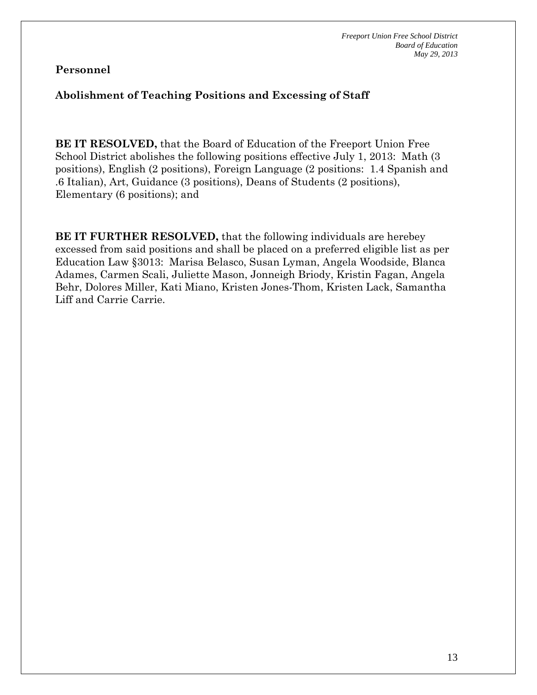#### **Abolishment of Teaching Positions and Excessing of Staff**

**BE IT RESOLVED,** that the Board of Education of the Freeport Union Free School District abolishes the following positions effective July 1, 2013: Math (3 positions), English (2 positions), Foreign Language (2 positions: 1.4 Spanish and .6 Italian), Art, Guidance (3 positions), Deans of Students (2 positions), Elementary (6 positions); and

**BE IT FURTHER RESOLVED,** that the following individuals are herebey excessed from said positions and shall be placed on a preferred eligible list as per Education Law §3013: Marisa Belasco, Susan Lyman, Angela Woodside, Blanca Adames, Carmen Scali, Juliette Mason, Jonneigh Briody, Kristin Fagan, Angela Behr, Dolores Miller, Kati Miano, Kristen Jones-Thom, Kristen Lack, Samantha Liff and Carrie Carrie.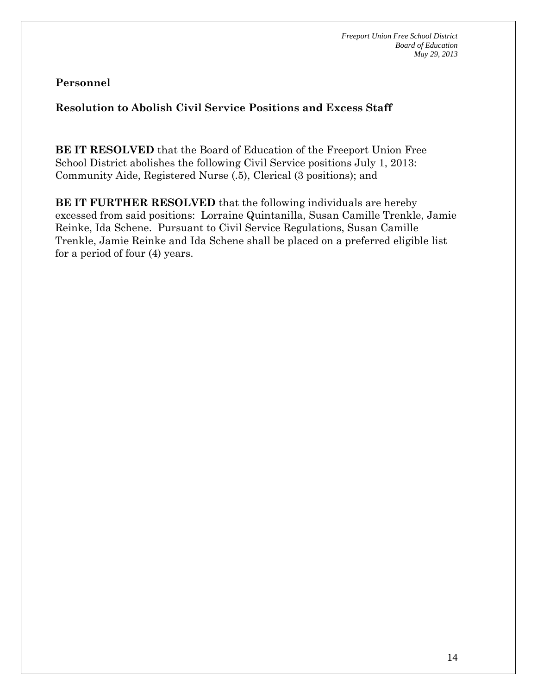## **Resolution to Abolish Civil Service Positions and Excess Staff**

**BE IT RESOLVED** that the Board of Education of the Freeport Union Free School District abolishes the following Civil Service positions July 1, 2013: Community Aide, Registered Nurse (.5), Clerical (3 positions); and

**BE IT FURTHER RESOLVED** that the following individuals are hereby excessed from said positions: Lorraine Quintanilla, Susan Camille Trenkle, Jamie Reinke, Ida Schene. Pursuant to Civil Service Regulations, Susan Camille Trenkle, Jamie Reinke and Ida Schene shall be placed on a preferred eligible list for a period of four (4) years.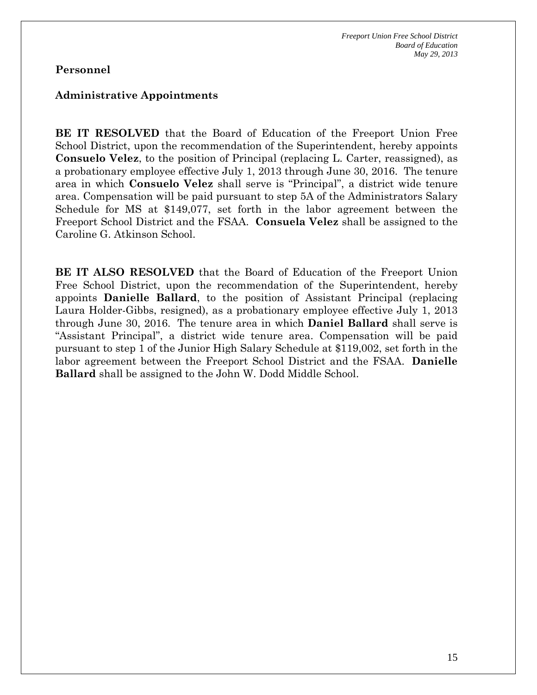#### **Administrative Appointments**

**BE IT RESOLVED** that the Board of Education of the Freeport Union Free School District, upon the recommendation of the Superintendent, hereby appoints **Consuelo Velez**, to the position of Principal (replacing L. Carter, reassigned), as a probationary employee effective July 1, 2013 through June 30, 2016. The tenure area in which **Consuelo Velez** shall serve is "Principal", a district wide tenure area. Compensation will be paid pursuant to step 5A of the Administrators Salary Schedule for MS at \$149,077, set forth in the labor agreement between the Freeport School District and the FSAA. **Consuela Velez** shall be assigned to the Caroline G. Atkinson School.

**BE IT ALSO RESOLVED** that the Board of Education of the Freeport Union Free School District, upon the recommendation of the Superintendent, hereby appoints **Danielle Ballard**, to the position of Assistant Principal (replacing Laura Holder-Gibbs, resigned), as a probationary employee effective July 1, 2013 through June 30, 2016. The tenure area in which **Daniel Ballard** shall serve is "Assistant Principal", a district wide tenure area. Compensation will be paid pursuant to step 1 of the Junior High Salary Schedule at \$119,002, set forth in the labor agreement between the Freeport School District and the FSAA. **Danielle Ballard** shall be assigned to the John W. Dodd Middle School.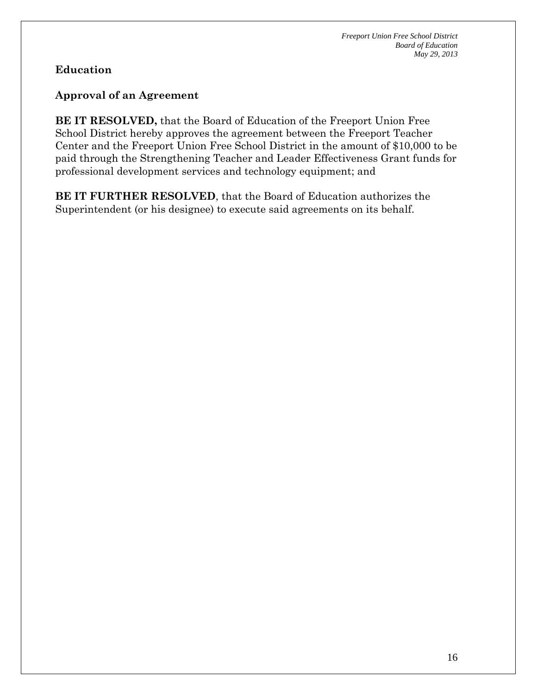### **Education**

### **Approval of an Agreement**

**BE IT RESOLVED,** that the Board of Education of the Freeport Union Free School District hereby approves the agreement between the Freeport Teacher Center and the Freeport Union Free School District in the amount of \$10,000 to be paid through the Strengthening Teacher and Leader Effectiveness Grant funds for professional development services and technology equipment; and

**BE IT FURTHER RESOLVED**, that the Board of Education authorizes the Superintendent (or his designee) to execute said agreements on its behalf.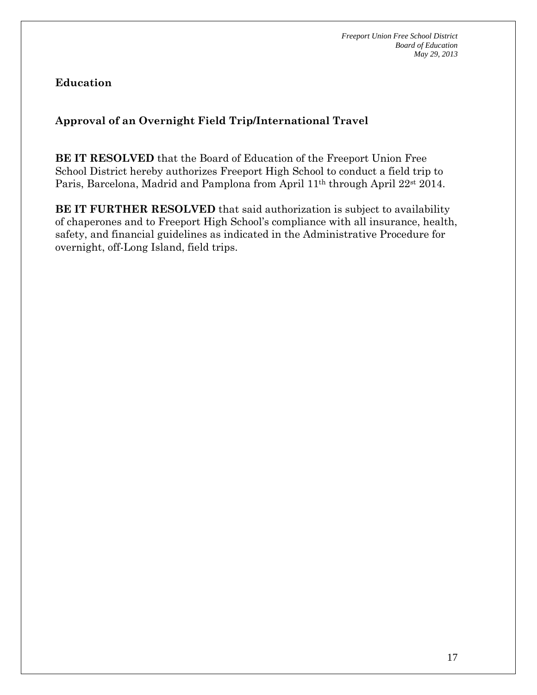**Education** 

## **Approval of an Overnight Field Trip/International Travel**

**BE IT RESOLVED** that the Board of Education of the Freeport Union Free School District hereby authorizes Freeport High School to conduct a field trip to Paris, Barcelona, Madrid and Pamplona from April 11th through April 22st 2014.

**BE IT FURTHER RESOLVED** that said authorization is subject to availability of chaperones and to Freeport High School's compliance with all insurance, health, safety, and financial guidelines as indicated in the Administrative Procedure for overnight, off-Long Island, field trips.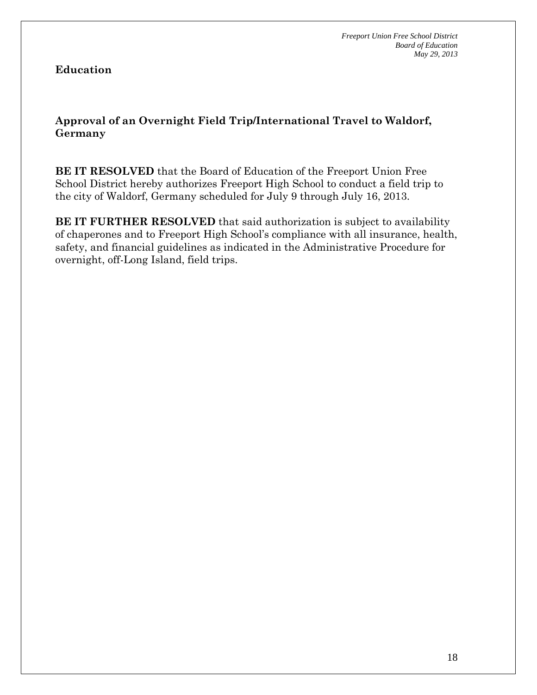### **Education**

**Approval of an Overnight Field Trip/International Travel to Waldorf, Germany** 

**BE IT RESOLVED** that the Board of Education of the Freeport Union Free School District hereby authorizes Freeport High School to conduct a field trip to the city of Waldorf, Germany scheduled for July 9 through July 16, 2013.

**BE IT FURTHER RESOLVED** that said authorization is subject to availability of chaperones and to Freeport High School's compliance with all insurance, health, safety, and financial guidelines as indicated in the Administrative Procedure for overnight, off-Long Island, field trips.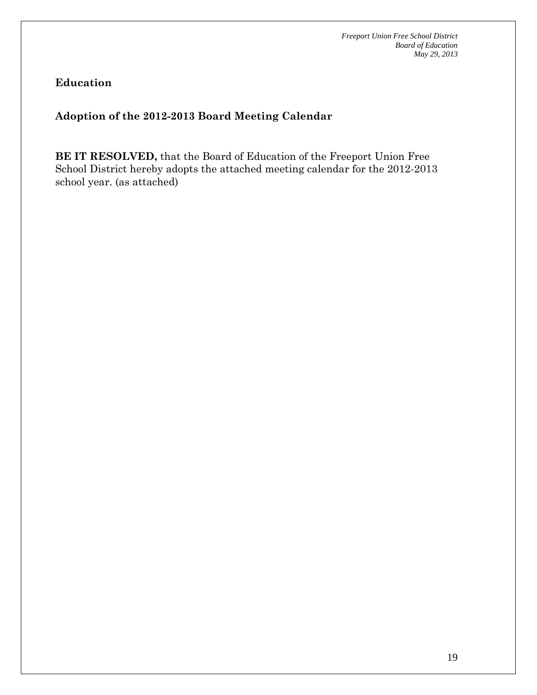### **Education**

## **Adoption of the 2012-2013 Board Meeting Calendar**

**BE IT RESOLVED,** that the Board of Education of the Freeport Union Free School District hereby adopts the attached meeting calendar for the 2012-2013 school year. (as attached)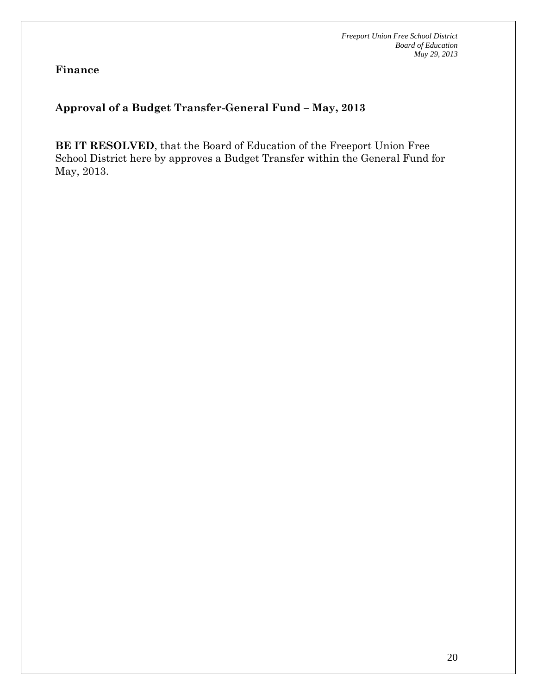**Finance** 

### **Approval of a Budget Transfer-General Fund – May, 2013**

**BE IT RESOLVED**, that the Board of Education of the Freeport Union Free School District here by approves a Budget Transfer within the General Fund for May, 2013.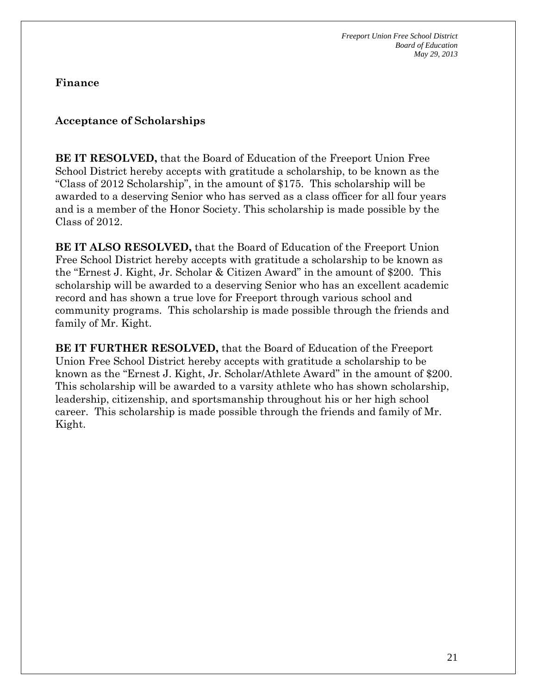**Finance** 

### **Acceptance of Scholarships**

**BE IT RESOLVED,** that the Board of Education of the Freeport Union Free School District hereby accepts with gratitude a scholarship, to be known as the "Class of 2012 Scholarship", in the amount of \$175. This scholarship will be awarded to a deserving Senior who has served as a class officer for all four years and is a member of the Honor Society. This scholarship is made possible by the Class of 2012.

**BE IT ALSO RESOLVED,** that the Board of Education of the Freeport Union Free School District hereby accepts with gratitude a scholarship to be known as the "Ernest J. Kight, Jr. Scholar & Citizen Award" in the amount of \$200. This scholarship will be awarded to a deserving Senior who has an excellent academic record and has shown a true love for Freeport through various school and community programs. This scholarship is made possible through the friends and family of Mr. Kight.

**BE IT FURTHER RESOLVED,** that the Board of Education of the Freeport Union Free School District hereby accepts with gratitude a scholarship to be known as the "Ernest J. Kight, Jr. Scholar/Athlete Award" in the amount of \$200. This scholarship will be awarded to a varsity athlete who has shown scholarship, leadership, citizenship, and sportsmanship throughout his or her high school career. This scholarship is made possible through the friends and family of Mr. Kight.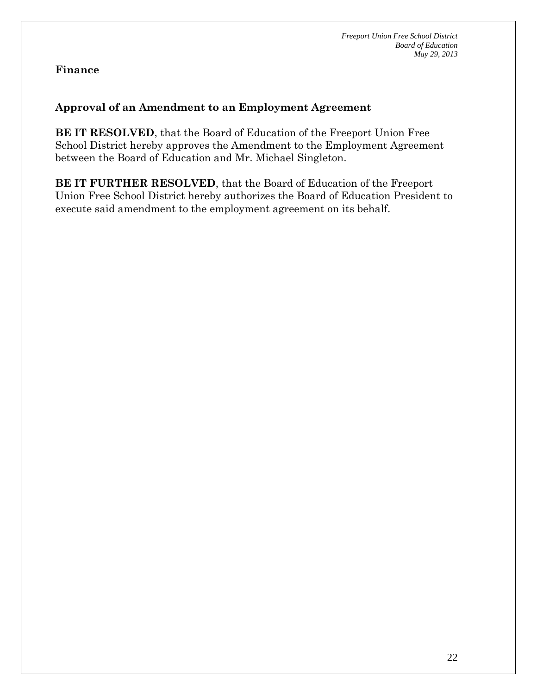#### **Finance**

#### **Approval of an Amendment to an Employment Agreement**

**BE IT RESOLVED**, that the Board of Education of the Freeport Union Free School District hereby approves the Amendment to the Employment Agreement between the Board of Education and Mr. Michael Singleton.

**BE IT FURTHER RESOLVED**, that the Board of Education of the Freeport Union Free School District hereby authorizes the Board of Education President to execute said amendment to the employment agreement on its behalf.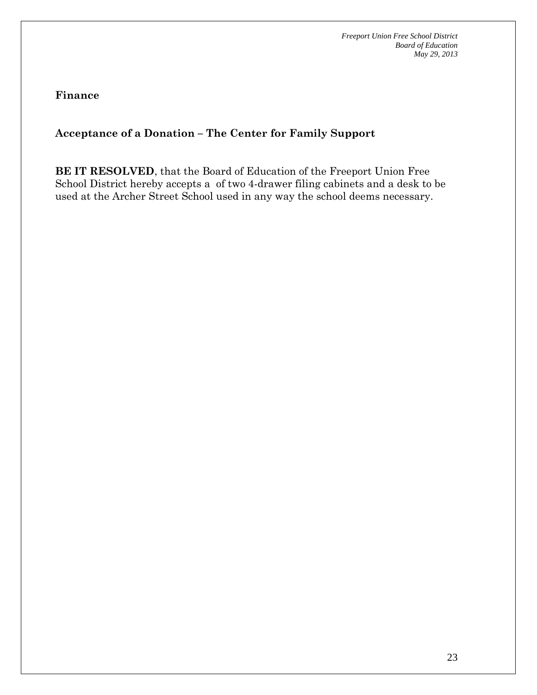**Finance** 

### **Acceptance of a Donation – The Center for Family Support**

**BE IT RESOLVED**, that the Board of Education of the Freeport Union Free School District hereby accepts a of two 4-drawer filing cabinets and a desk to be used at the Archer Street School used in any way the school deems necessary.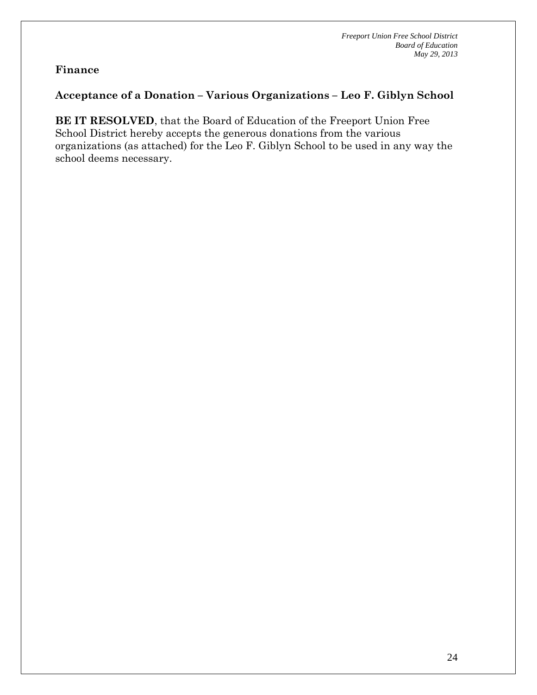#### **Finance**

### **Acceptance of a Donation – Various Organizations – Leo F. Giblyn School**

**BE IT RESOLVED**, that the Board of Education of the Freeport Union Free School District hereby accepts the generous donations from the various organizations (as attached) for the Leo F. Giblyn School to be used in any way the school deems necessary.